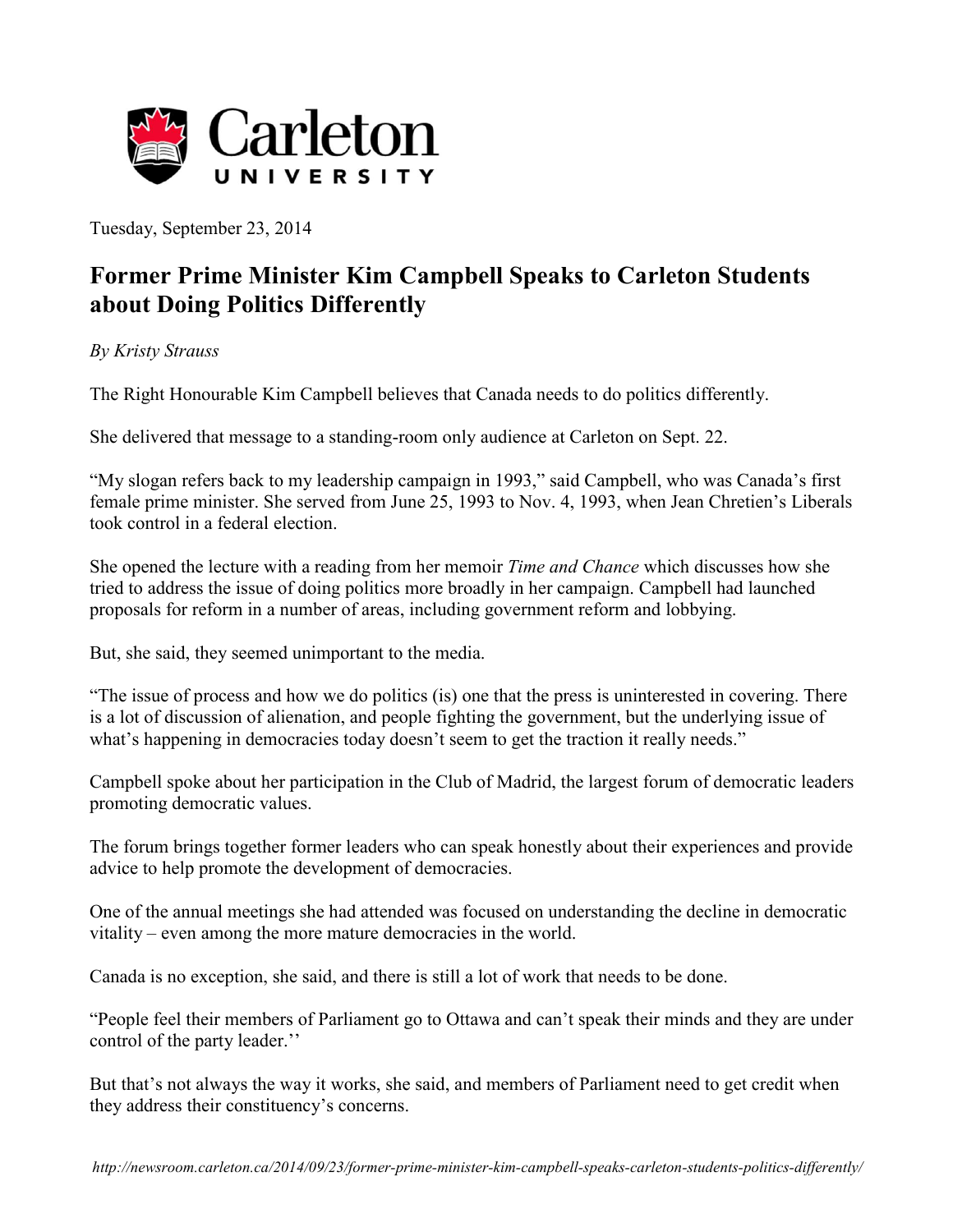

Tuesday, September 23, 2014

## **Former Prime Minister Kim Campbell Speaks to Carleton Students about Doing Politics Differently**

## *By Kristy Strauss*

The Right Honourable Kim Campbell believes that Canada needs to do politics differently.

She delivered that message to a standing-room only audience at Carleton on Sept. 22.

"My slogan refers back to my leadership campaign in 1993," said Campbell, who was Canada's first female prime minister. She served from June 25, 1993 to Nov. 4, 1993, when Jean Chretien's Liberals took control in a federal election.

She opened the lecture with a reading from her memoir *Time and Chance* which discusses how she tried to address the issue of doing politics more broadly in her campaign. Campbell had launched proposals for reform in a number of areas, including government reform and lobbying.

But, she said, they seemed unimportant to the media.

"The issue of process and how we do politics (is) one that the press is uninterested in covering. There is a lot of discussion of alienation, and people fighting the government, but the underlying issue of what's happening in democracies today doesn't seem to get the traction it really needs."

Campbell spoke about her participation in the Club of Madrid, the largest forum of democratic leaders promoting democratic values.

The forum brings together former leaders who can speak honestly about their experiences and provide advice to help promote the development of democracies.

One of the annual meetings she had attended was focused on understanding the decline in democratic vitality – even among the more mature democracies in the world.

Canada is no exception, she said, and there is still a lot of work that needs to be done.

"People feel their members of Parliament go to Ottawa and can't speak their minds and they are under control of the party leader.''

But that's not always the way it works, she said, and members of Parliament need to get credit when they address their constituency's concerns.